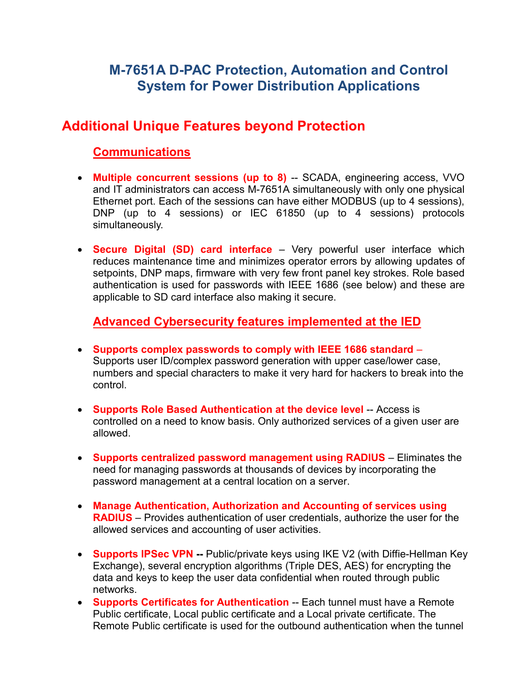# **M-7651A D-PAC Protection, Automation and Control System for Power Distribution Applications**

## **Additional Unique Features beyond Protection**

### **Communications**

- **Multiple concurrent sessions (up to 8)** -- SCADA, engineering access, VVO and IT administrators can access M-7651A simultaneously with only one physical Ethernet port. Each of the sessions can have either MODBUS (up to 4 sessions), DNP (up to 4 sessions) or IEC 61850 (up to 4 sessions) protocols simultaneously.
- **Secure Digital (SD) card interface** Very powerful user interface which reduces maintenance time and minimizes operator errors by allowing updates of setpoints, DNP maps, firmware with very few front panel key strokes. Role based authentication is used for passwords with IEEE 1686 (see below) and these are applicable to SD card interface also making it secure.

#### **Advanced Cybersecurity features implemented at the IED**

- **Supports complex passwords to comply with IEEE 1686 standard**  Supports user ID/complex password generation with upper case/lower case, numbers and special characters to make it very hard for hackers to break into the control.
- **Supports Role Based Authentication at the device level** -- Access is controlled on a need to know basis. Only authorized services of a given user are allowed.
- **Supports centralized password management using RADIUS**  Eliminates the need for managing passwords at thousands of devices by incorporating the password management at a central location on a server.
- **Manage Authentication, Authorization and Accounting of services using RADIUS** – Provides authentication of user credentials, authorize the user for the allowed services and accounting of user activities.
- **Supports IPSec VPN** -- Public/private keys using IKE V2 (with Diffie-Hellman Key Exchange), several encryption algorithms (Triple DES, AES) for encrypting the data and keys to keep the user data confidential when routed through public networks.
- **Supports Certificates for Authentication** -- Each tunnel must have a Remote Public certificate, Local public certificate and a Local private certificate. The Remote Public certificate is used for the outbound authentication when the tunnel